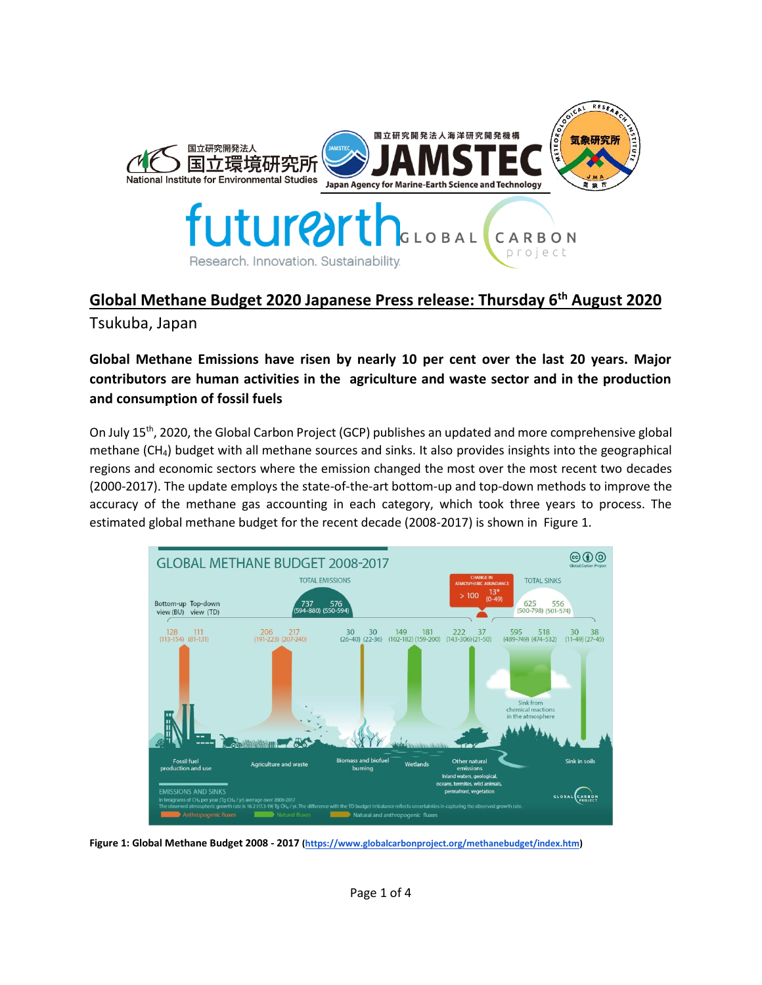

# **Global Methane Budget 2020 Japanese Press release: Thursday 6th August 2020**

Tsukuba, Japan

# **Global Methane Emissions have risen by nearly 10 per cent over the last 20 years. Major contributors are human activities in the agriculture and waste sector and in the production and consumption of fossil fuels**

On July 15<sup>th</sup>, 2020, the Global Carbon Project (GCP) publishes an updated and more comprehensive global methane (CH4) budget with all methane sources and sinks. It also provides insights into the geographical regions and economic sectors where the emission changed the most over the most recent two decades (2000-2017). The update employs the state-of-the-art bottom-up and top-down methods to improve the accuracy of the methane gas accounting in each category, which took three years to process. The estimated global methane budget for the recent decade (2008-2017) is shown in Figure 1.



**Figure 1: Global Methane Budget 2008 - 2017 [\(https://www.globalcarbonproject.org/methanebudget/index.htm\)](https://www.globalcarbonproject.org/methanebudget/index.htm)**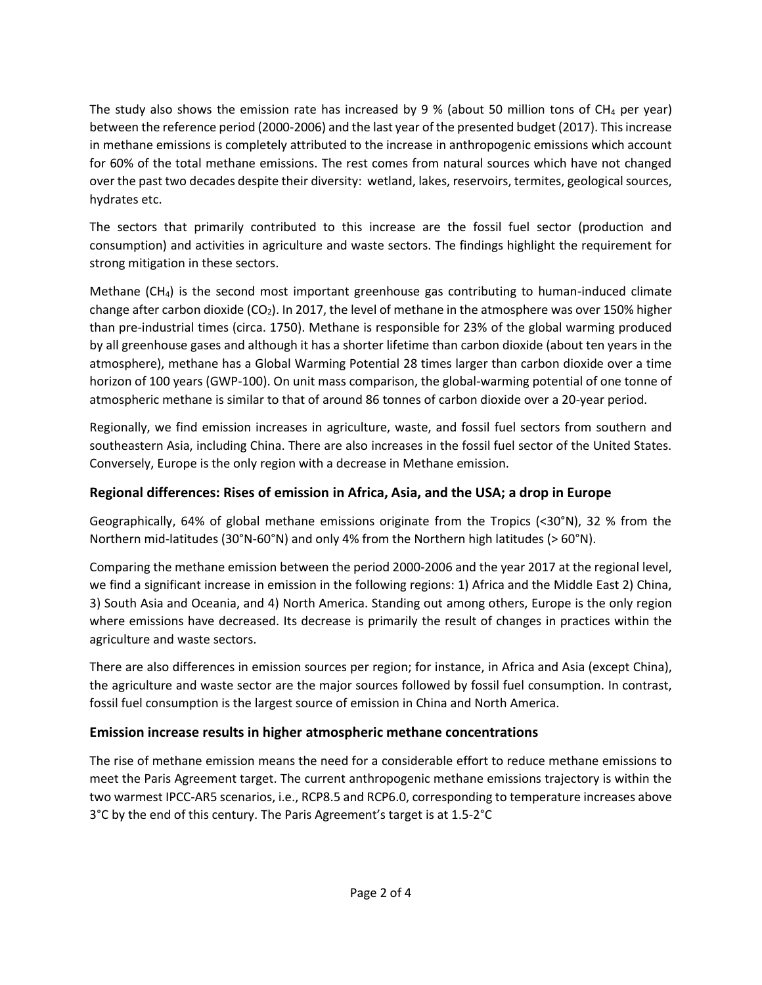The study also shows the emission rate has increased by 9 % (about 50 million tons of CH<sub>4</sub> per year) between the reference period (2000-2006) and the last year of the presented budget (2017). This increase in methane emissions is completely attributed to the increase in anthropogenic emissions which account for 60% of the total methane emissions. The rest comes from natural sources which have not changed over the past two decades despite their diversity: wetland, lakes, reservoirs, termites, geological sources, hydrates etc.

The sectors that primarily contributed to this increase are the fossil fuel sector (production and consumption) and activities in agriculture and waste sectors. The findings highlight the requirement for strong mitigation in these sectors.

Methane  $(CH_4)$  is the second most important greenhouse gas contributing to human-induced climate change after carbon dioxide ( $CO<sub>2</sub>$ ). In 2017, the level of methane in the atmosphere was over 150% higher than pre-industrial times (circa. 1750). Methane is responsible for 23% of the global warming produced by all greenhouse gases and although it has a shorter lifetime than carbon dioxide (about ten years in the atmosphere), methane has a Global Warming Potential 28 times larger than carbon dioxide over a time horizon of 100 years (GWP-100). On unit mass comparison, the global-warming potential of one tonne of atmospheric methane is similar to that of around 86 tonnes of carbon dioxide over a 20-year period.

Regionally, we find emission increases in agriculture, waste, and fossil fuel sectors from southern and southeastern Asia, including China. There are also increases in the fossil fuel sector of the United States. Conversely, Europe is the only region with a decrease in Methane emission.

### **Regional differences: Rises of emission in Africa, Asia, and the USA; a drop in Europe**

Geographically, 64% of global methane emissions originate from the Tropics (<30°N), 32 % from the Northern mid-latitudes (30°N-60°N) and only 4% from the Northern high latitudes (> 60°N).

Comparing the methane emission between the period 2000-2006 and the year 2017 at the regional level, we find a significant increase in emission in the following regions: 1) Africa and the Middle East 2) China, 3) South Asia and Oceania, and 4) North America. Standing out among others, Europe is the only region where emissions have decreased. Its decrease is primarily the result of changes in practices within the agriculture and waste sectors.

There are also differences in emission sources per region; for instance, in Africa and Asia (except China), the agriculture and waste sector are the major sources followed by fossil fuel consumption. In contrast, fossil fuel consumption is the largest source of emission in China and North America.

# **Emission increase results in higher atmospheric methane concentrations**

The rise of methane emission means the need for a considerable effort to reduce methane emissions to meet the Paris Agreement target. The current anthropogenic methane emissions trajectory is within the two warmest IPCC-AR5 scenarios, i.e., RCP8.5 and RCP6.0, corresponding to temperature increases above 3°C by the end of this century. The Paris Agreement's target is at 1.5-2°C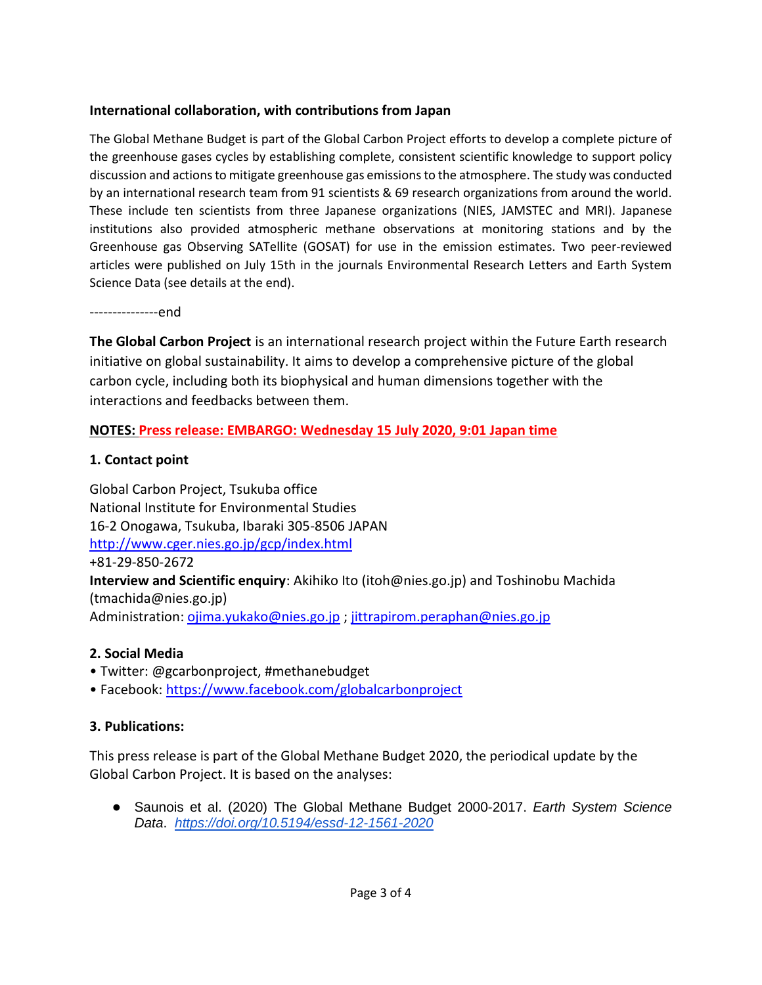### **International collaboration, with contributions from Japan**

The Global Methane Budget is part of the Global Carbon Project efforts to develop a complete picture of the greenhouse gases cycles by establishing complete, consistent scientific knowledge to support policy discussion and actions to mitigate greenhouse gas emissions to the atmosphere. The study was conducted by an international research team from 91 scientists & 69 research organizations from around the world. These include ten scientists from three Japanese organizations (NIES, JAMSTEC and MRI). Japanese institutions also provided atmospheric methane observations at monitoring stations and by the Greenhouse gas Observing SATellite (GOSAT) for use in the emission estimates. Two peer-reviewed articles were published on July 15th in the journals Environmental Research Letters and Earth System Science Data (see details at the end).

---------------end

**The Global Carbon Project** is an international research project within the Future Earth research initiative on global sustainability. It aims to develop a comprehensive picture of the global carbon cycle, including both its biophysical and human dimensions together with the interactions and feedbacks between them.

### **NOTES: Press release: EMBARGO: Wednesday 15 July 2020, 9:01 Japan time**

#### **1. Contact point**

Global Carbon Project, Tsukuba office National Institute for Environmental Studies 16-2 Onogawa, Tsukuba, Ibaraki 305-8506 JAPAN <http://www.cger.nies.go.jp/gcp/index.html> +81-29-850-2672 **Interview and Scientific enquiry**: Akihiko Ito (itoh@nies.go.jp) and Toshinobu Machida (tmachida@nies.go.jp) Administration[: ojima.yukako@nies.go.jp](mailto:ojima.yukako@nies.go.jp) ; [jittrapirom.peraphan@nies.go.jp](mailto:jittrapirom.peraphan@nies.go.jp)

#### **2. Social Media**

- Twitter: @gcarbonproject, #methanebudget
- Facebook: <https://www.facebook.com/globalcarbonproject>

# **3. Publications:**

This press release is part of the Global Methane Budget 2020, the periodical update by the Global Carbon Project. It is based on the analyses:

● Saunois et al. (2020) The Global Methane Budget 2000-2017. *Earth System Science Data*. *<https://doi.org/10.5194/essd-12-1561-2020>*